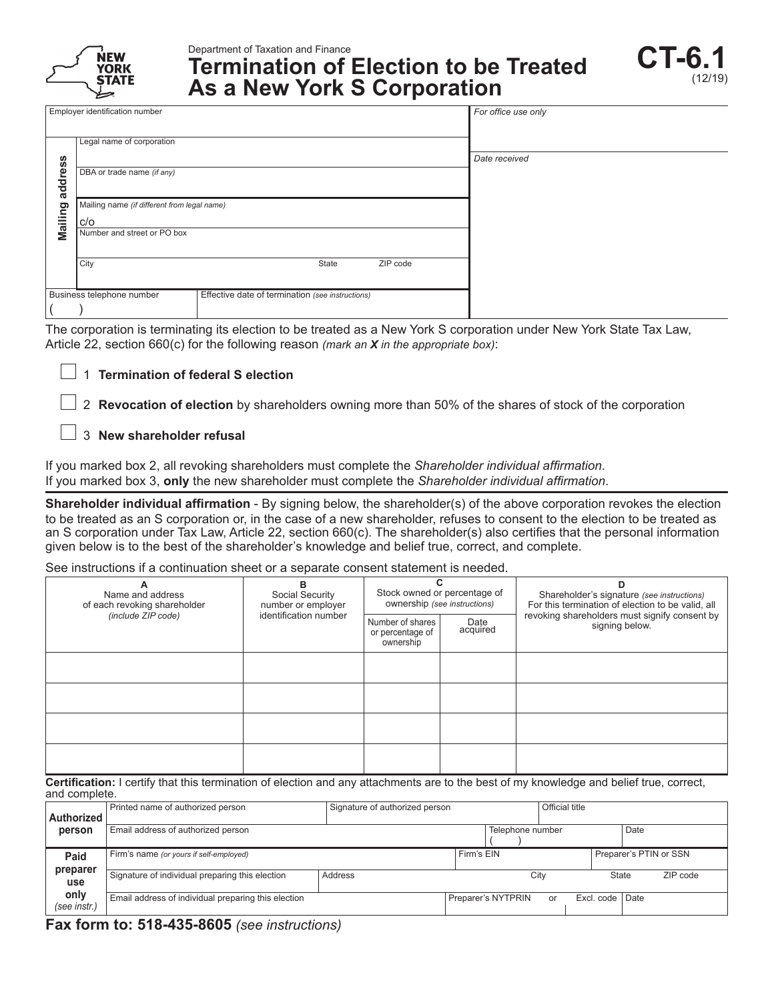

Department of Taxation and Finance

# **Termination of Election to be Treated As a New York S Corporation**

|         | Employer identification number                     |                                                  | For office use only |
|---------|----------------------------------------------------|--------------------------------------------------|---------------------|
|         | Legal name of corporation                          |                                                  |                     |
| address | DBA or trade name (if any)                         |                                                  | Date received       |
| Mailing | Mailing name (if different from legal name)<br>C/O |                                                  |                     |
|         | Number and street or PO box                        |                                                  |                     |
|         | City                                               | State<br>ZIP code                                |                     |
|         | Business telephone number                          | Effective date of termination (see instructions) |                     |
|         |                                                    |                                                  |                     |

The corporation is terminating its election to be treated as a New York S corporation under New York State Tax Law, Article 22, section 660(c) for the following reason *(mark an X in the appropriate box)*:

# 1 **Termination of federal S election**

 2 **Revocation of election** by shareholders owning more than 50% of the shares of stock of the corporation

# 3 **New shareholder refusal**

If you marked box 2, all revoking shareholders must complete the *Shareholder individual affirmation*. If you marked box 3, **only** the new shareholder must complete the *Shareholder individual affirmation*.

**Shareholder individual affirmation** - By signing below, the shareholder(s) of the above corporation revokes the election to be treated as an S corporation or, in the case of a new shareholder, refuses to consent to the election to be treated as an S corporation under Tax Law, Article 22, section 660(c). The shareholder(s) also certifies that the personal information given below is to the best of the shareholder's knowledge and belief true, correct, and complete.

See instructions if a continuation sheet or a separate consent statement is needed.

| A<br>Name and address<br>of each revoking shareholder | в<br>Social Security<br>number or employer<br>identification number | Stock owned or percentage of<br>ownership (see instructions) |                  | Shareholder's signature (see instructions)<br>For this termination of election to be valid, all |  |  |  |
|-------------------------------------------------------|---------------------------------------------------------------------|--------------------------------------------------------------|------------------|-------------------------------------------------------------------------------------------------|--|--|--|
| (include ZIP code)                                    |                                                                     | Number of shares<br>or percentage of<br>ownership            | Date<br>acquired | revoking shareholders must signify consent by<br>signing below.                                 |  |  |  |
|                                                       |                                                                     |                                                              |                  |                                                                                                 |  |  |  |
|                                                       |                                                                     |                                                              |                  |                                                                                                 |  |  |  |
|                                                       |                                                                     |                                                              |                  |                                                                                                 |  |  |  |
|                                                       |                                                                     |                                                              |                  |                                                                                                 |  |  |  |

**Certification:** I certify that this termination of election and any attachments are to the best of my knowledge and belief true, correct, and complete.

| Authorized           | Printed name of authorized person<br>Signature of authorized person |         |                  |                    | Official title |                 |                        |  |  |
|----------------------|---------------------------------------------------------------------|---------|------------------|--------------------|----------------|-----------------|------------------------|--|--|
| person               | Email address of authorized person                                  |         | Telephone number |                    |                |                 | Date                   |  |  |
| Paid                 | Firm's name (or yours if self-employed)                             |         | Firm's EIN       |                    |                |                 | Preparer's PTIN or SSN |  |  |
| preparer<br>use      | Signature of individual preparing this election                     | Address | City             |                    |                |                 | ZIP code<br>State      |  |  |
| only<br>(see instr.) | Email address of individual preparing this election                 |         |                  | Preparer's NYTPRIN | or             | Excl. code Date |                        |  |  |

**Fax form to: 518-435-8605** *(see instructions)*